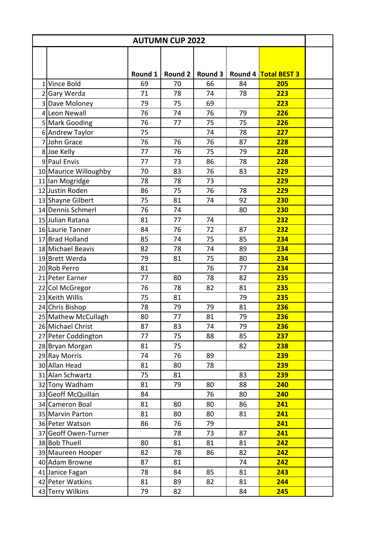| <b>AUTUMN CUP 2022</b> |                       |         |                |         |    |                      |  |
|------------------------|-----------------------|---------|----------------|---------|----|----------------------|--|
|                        |                       |         |                |         |    |                      |  |
|                        |                       |         |                |         |    |                      |  |
|                        |                       | Round 1 | <b>Round 2</b> | Round 3 |    | Round 4 Total BEST 3 |  |
|                        | 1 Vince Bold          | 69      | 70             | 66      | 84 | 205                  |  |
|                        | Gary Werda            | 71      | 78             | 74      | 78 | 223                  |  |
|                        | 3 Dave Moloney        | 79      | 75             | 69      |    | 223                  |  |
| $\overline{4}$         | Leon Newall           | 76      | 74             | 76      | 79 | 226                  |  |
|                        | 5 Mark Gooding        | 76      | 77             | 75      | 75 | <b>226</b>           |  |
|                        | 6 Andrew Taylor       | 75      |                | 74      | 78 | 227                  |  |
| 7                      | John Grace            | 76      | 76             | 76      | 87 | <b>228</b>           |  |
|                        | 8 Joe Kelly           | 77      | 76             | 75      | 79 | 228                  |  |
|                        | 9 Paul Envis          | 77      | 73             | 86      | 78 | <b>228</b>           |  |
|                        | 10 Maurice Willoughby | 70      | 83             | 76      | 83 | 229                  |  |
|                        | 11 Ian Mogridge       | 78      | 78             | 73      |    | 229                  |  |
|                        | 12 Justin Roden       | 86      | 75             | 76      | 78 | <b>229</b>           |  |
|                        | 13 Shayne Gilbert     | 75      | 81             | 74      | 92 | <b>230</b>           |  |
|                        | 14 Dennis Schmerl     | 76      | 74             |         | 80 | <b>230</b>           |  |
|                        | 15 Julian Ratana      | 81      | 77             | 74      |    | 232                  |  |
|                        | 16 Laurie Tanner      | 84      | 76             | 72      | 87 | 232                  |  |
|                        | 17 Brad Holland       | 85      | 74             | 75      | 85 | 234                  |  |
|                        | 18 Michael Beavis     | 82      | 78             | 74      | 89 | 234                  |  |
|                        | 19 Brett Werda        | 79      | 81             | 75      | 80 | 234                  |  |
|                        | 20 Rob Perro          | 81      |                | 76      | 77 | 234                  |  |
|                        | 21 Peter Earner       | 77      | 80             | 78      | 82 | 235                  |  |
|                        | 22 Col McGregor       | 76      | 78             | 82      | 81 | 235                  |  |
|                        | 23 Keith Willis       | 75      | 81             |         | 79 | 235                  |  |
|                        | 24 Chris Bishop       | 78      | 79             | 79      | 81 | <b>236</b>           |  |
|                        | 25 Mathew McCullagh   | 80      | 77             | 81      | 79 | 236                  |  |
|                        | 26 Michael Christ     | 87      | 83             | 74      | 79 | <b>236</b>           |  |
|                        | 27 Peter Coddington   | 77      | 75             | 88      | 85 | 237                  |  |
|                        | 28 Bryan Morgan       | 81      | 75             |         | 82 | 238                  |  |
|                        | 29 Ray Morris         | 74      | 76             | 89      |    | 239                  |  |
|                        | 30 Allan Head         | 81      | 80             | 78      |    | 239                  |  |
|                        | 31 Alan Schwartz      | 75      | 81             |         | 83 | 239                  |  |
|                        | 32 Tony Wadham        | 81      | 79             | 80      | 88 | 240                  |  |
|                        | 33 Geoff McQuillan    | 84      |                | 76      | 80 | 240                  |  |
|                        | 34 Cameron Boal       | 81      | 80             | 80      | 86 | 241                  |  |
|                        | 35 Marvin Parton      | 81      | 80             | 80      | 81 | 241                  |  |
|                        | 36 Peter Watson       | 86      | 76             | 79      |    | 241                  |  |
|                        | 37 Geoff Owen-Turner  |         | 78             | 73      | 87 | 241                  |  |
|                        | 38 Bob Thuell         | 80      | 81             | 81      | 81 | 242                  |  |
|                        | 39 Maureen Hooper     | 82      | 78             | 86      | 82 | 242                  |  |
|                        | 40 Adam Browne        | 87      | 81             |         | 74 | 242                  |  |
|                        | 41 Janice Fagan       | 78      | 84             | 85      | 81 | 243                  |  |
|                        | 42 Peter Watkins      | 81      | 89             | 82      | 81 | 244                  |  |
|                        | 43 Terry Wilkins      | 79      | 82             |         | 84 | 245                  |  |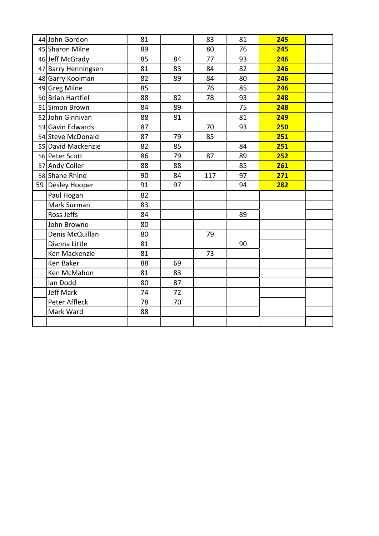|    | 44 John Gordon      | 81 |    | 83  | 81 | 245 |  |
|----|---------------------|----|----|-----|----|-----|--|
|    | 45 Sharon Milne     | 89 |    | 80  | 76 | 245 |  |
|    | 46 Jeff McGrady     | 85 | 84 | 77  | 93 | 246 |  |
|    | 47 Barry Henningsen | 81 | 83 | 84  | 82 | 246 |  |
|    | 48 Garry Koolman    | 82 | 89 | 84  | 80 | 246 |  |
|    | 49 Greg Milne       | 85 |    | 76  | 85 | 246 |  |
|    | 50 Brian Hartfiel   | 88 | 82 | 78  | 93 | 248 |  |
|    | 51 Simon Brown      | 84 | 89 |     | 75 | 248 |  |
|    | 52 John Ginnivan    | 88 | 81 |     | 81 | 249 |  |
|    | 53 Gavin Edwards    | 87 |    | 70  | 93 | 250 |  |
|    | 54 Steve McDonald   | 87 | 79 | 85  |    | 251 |  |
|    | 55 David Mackenzie  | 82 | 85 |     | 84 | 251 |  |
|    | 56 Peter Scott      | 86 | 79 | 87  | 89 | 252 |  |
|    | 57 Andy Coller      | 88 | 88 |     | 85 | 261 |  |
|    | 58 Shane Rhind      | 90 | 84 | 117 | 97 | 271 |  |
|    |                     |    |    |     |    |     |  |
| 59 | Desley Hooper       | 91 | 97 |     | 94 | 282 |  |
|    | Paul Hogan          | 82 |    |     |    |     |  |
|    | Mark Surman         | 83 |    |     |    |     |  |
|    | Ross Jeffs          | 84 |    |     | 89 |     |  |
|    | John Browne         | 80 |    |     |    |     |  |
|    | Denis McQuillan     | 80 |    | 79  |    |     |  |
|    | Dianna Little       | 81 |    |     | 90 |     |  |
|    | Ken Mackenzie       | 81 |    | 73  |    |     |  |
|    | Ken Baker           | 88 | 69 |     |    |     |  |
|    | Ken McMahon         | 81 | 83 |     |    |     |  |
|    | lan Dodd            | 80 | 87 |     |    |     |  |
|    | <b>Jeff Mark</b>    | 74 | 72 |     |    |     |  |
|    | Peter Affleck       | 78 | 70 |     |    |     |  |
|    | Mark Ward           | 88 |    |     |    |     |  |